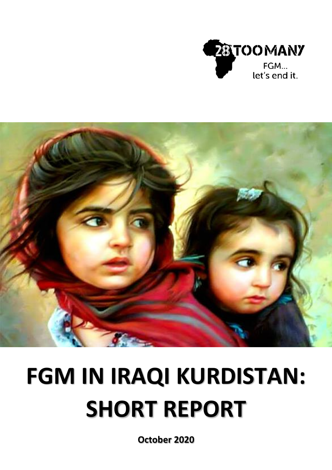



# **FGM IN IRAQI KURDISTAN: SHORT REPORT**

**October 2020**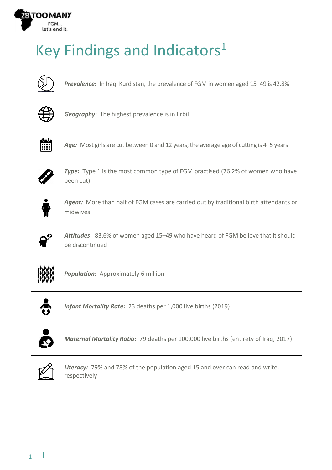

## Key Findings and Indicators 1



*Prevalence***:** In Iraqi Kurdistan, the prevalence of FGM in women aged 15–49 is 42.8%



*Geography***:** The highest prevalence is in Erbil



Age: Most girls are cut between 0 and 12 years; the average age of cutting is 4–5 years



**Type:** Type 1 is the most common type of FGM practised (76.2% of women who have been cut)



*Agent:* More than half of FGM cases are carried out by traditional birth attendants or midwives



*Attitudes***:** 83.6% of women aged 15–49 who have heard of FGM believe that it should be discontinued



**Population:** Approximately 6 million



*Infant Mortality Rate:* 23 deaths per 1,000 live births (2019)



*Maternal Mortality Ratio:* 79 deaths per 100,000 live births (entirety of Iraq, 2017)



*Literacy:* 79% and 78% of the population aged 15 and over can read and write, respectively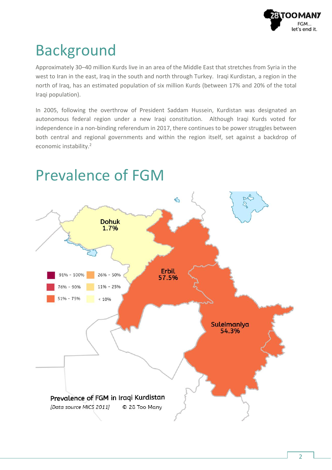

#### Background

Approximately 30–40 million Kurds live in an area of the Middle East that stretches from Syria in the west to Iran in the east, Iraq in the south and north through Turkey. Iraqi Kurdistan, a region in the north of Iraq, has an estimated population of six million Kurds (between 17% and 20% of the total Iraqi population).

In 2005, following the overthrow of President Saddam Hussein, Kurdistan was designated an autonomous federal region under a new Iraqi constitution. Although Iraqi Kurds voted for independence in a non-binding referendum in 2017, there continues to be power struggles between both central and regional governments and within the region itself, set against a backdrop of economic instability.<sup>2</sup>



#### Prevalence of FGM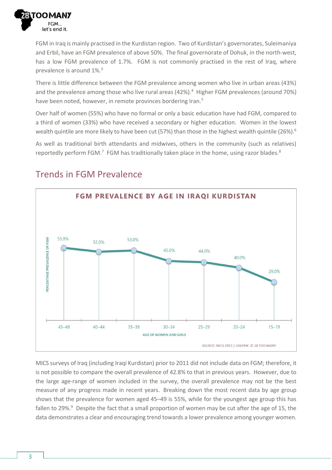

FGM in Iraq is mainly practised in the Kurdistan region. Two of Kurdistan's governorates, Suleimaniya and Erbil, have an FGM prevalence of above 50%. The final governorate of Dohuk, in the north-west, has a low FGM prevalence of 1.7%. FGM is not commonly practised in the rest of Iraq, where prevalence is around 1%.<sup>3</sup>

There is little difference between the FGM prevalence among women who live in urban areas (43%) and the prevalence among those who live rural areas (42%).<sup>4</sup> Higher FGM prevalences (around 70%) have been noted, however, in remote provinces bordering Iran.<sup>5</sup>

Over half of women (55%) who have no formal or only a basic education have had FGM, compared to a third of women (33%) who have received a secondary or higher education. Women in the lowest wealth quintile are more likely to have been cut (57%) than those in the highest wealth quintile (26%).<sup>6</sup>

As well as traditional birth attendants and midwives, others in the community (such as relatives) reportedly perform FGM.<sup>7</sup> FGM has traditionally taken place in the home, using razor blades.<sup>8</sup>



#### Trends in FGM Prevalence

MICS surveys of Iraq (including Iraqi Kurdistan) prior to 2011 did not include data on FGM; therefore, it is not possible to compare the overall prevalence of 42.8% to that in previous years. However, due to the large age-range of women included in the survey, the overall prevalence may not be the best measure of any progress made in recent years. Breaking down the most recent data by age group shows that the prevalence for women aged 45–49 is 55%, while for the youngest age group this has fallen to 29%.<sup>9</sup> Despite the fact that a small proportion of women may be cut after the age of 15, the data demonstrates a clear and encouraging trend towards a lower prevalence among younger women.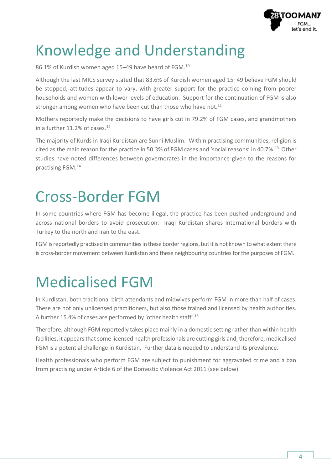

#### Knowledge and Understanding

86.1% of Kurdish women aged 15–49 have heard of FGM.<sup>10</sup>

Although the last MICS survey stated that 83.6% of Kurdish women aged 15–49 believe FGM should be stopped, attitudes appear to vary, with greater support for the practice coming from poorer households and women with lower levels of education. Support for the continuation of FGM is also stronger among women who have been cut than those who have not. $11$ 

Mothers reportedly make the decisions to have girls cut in 79.2% of FGM cases, and grandmothers in a further 11.2% of cases. 12

The majority of Kurds in Iraqi Kurdistan are Sunni Muslim. Within practising communities, religion is cited as the main reason for the practice in 50.3% of FGM cases and 'social reasons' in 40.7%. <sup>13</sup> Other studies have noted differences between governorates in the importance given to the reasons for practising FGM.<sup>14</sup>

#### Cross-Border FGM

In some countries where FGM has become illegal, the practice has been pushed underground and across national borders to avoid prosecution. Iraqi Kurdistan shares international borders with Turkey to the north and Iran to the east.

FGM is reportedly practised in communities in these border regions, but it is not known to what extent there is cross-border movement between Kurdistan and these neighbouring countries for the purposes of FGM.

#### Medicalised FGM

In Kurdistan, both traditional birth attendants and midwives perform FGM in more than half of cases. These are not only unlicensed practitioners, but also those trained and licensed by health authorities. A further 15.4% of cases are performed by 'other health staff'.<sup>15</sup>

Therefore, although FGM reportedly takes place mainly in a domestic setting rather than within health facilities, it appears that some licensed health professionals are cutting girls and, therefore, medicalised FGM is a potential challenge in Kurdistan. Further data is needed to understand its prevalence.

Health professionals who perform FGM are subject to punishment for aggravated crime and a ban from practising under Article 6 of the Domestic Violence Act 2011 (see below).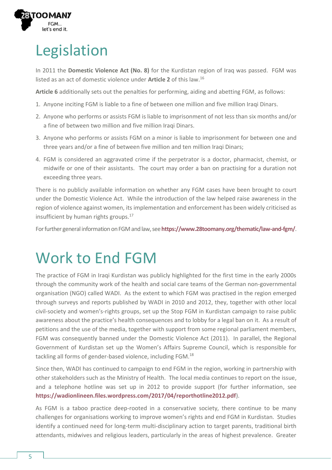

## Legislation

In 2011 the **Domestic Violence Act (No. 8)** for the Kurdistan region of Iraq was passed. FGM was listed as an act of domestic violence under **Article 2** of this law.<sup>16</sup>

**Article 6** additionally sets out the penalties for performing, aiding and abetting FGM, as follows:

- 1. Anyone inciting FGM is liable to a fine of between one million and five million Iraqi Dinars.
- 2. Anyone who performs or assists FGM is liable to imprisonment of not less than six months and/or a fine of between two million and five million Iraqi Dinars.
- 3. Anyone who performs or assists FGM on a minor is liable to imprisonment for between one and three years and/or a fine of between five million and ten million Iraqi Dinars;
- 4. FGM is considered an aggravated crime if the perpetrator is a doctor, pharmacist, chemist, or midwife or one of their assistants. The court may order a ban on practising for a duration not exceeding three years.

There is no publicly available information on whether any FGM cases have been brought to court under the Domestic Violence Act. While the introduction of the law helped raise awareness in the region of violence against women, its implementation and enforcement has been widely criticised as insufficient by human rights groups.<sup>17</sup>

For further general information on FGM and law, see <https://www.28toomany.org/thematic/law-and-fgm/>.

#### Work to End FGM

The practice of FGM in Iraqi Kurdistan was publicly highlighted for the first time in the early 2000s through the community work of the health and social care teams of the German non-governmental organisation (NGO) called WADI. As the extent to which FGM was practised in the region emerged through surveys and reports published by WADI in 2010 and 2012, they, together with other local civil-society and women's-rights groups, set up the Stop FGM in Kurdistan campaign to raise public awareness about the practice's health consequences and to lobby for a legal ban on it. As a result of petitions and the use of the media, together with support from some regional parliament members, FGM was consequently banned under the Domestic Violence Act (2011). In parallel, the Regional Government of Kurdistan set up the Women's Affairs Supreme Council, which is responsible for tackling all forms of gender-based violence, including FGM.<sup>18</sup>

Since then, WADI has continued to campaign to end FGM in the region, working in partnership with other stakeholders such as the Ministry of Health. The local media continues to report on the issue, and a telephone hotline was set up in 2012 to provide support (for further information, see **<https://wadionlineen.files.wordpress.com/2017/04/reporthotline2012.pdf>**).

As FGM is a taboo practice deep-rooted in a conservative society, there continue to be many challenges for organisations working to improve women's rights and end FGM in Kurdistan. Studies identify a continued need for long-term multi-disciplinary action to target parents, traditional birth attendants, midwives and religious leaders, particularly in the areas of highest prevalence. Greater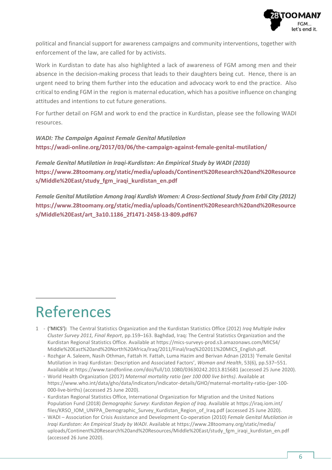

political and financial support for awareness campaigns and community interventions, together with enforcement of the law, are called for by activists.

Work in Kurdistan to date has also highlighted a lack of awareness of FGM among men and their absence in the decision-making process that leads to their daughters being cut. Hence, there is an urgent need to bring them further into the education and advocacy work to end the practice. Also critical to ending FGM in the region is maternal education, which has a positive influence on changing attitudes and intentions to cut future generations.

For further detail on FGM and work to end the practice in Kurdistan, please see the following WADI resources.

*WADI: The Campaign Against Female Genital Mutilation* **<https://wadi-online.org/2017/03/06/the-campaign-against-female-genital-mutilation/>**

*Female Genital Mutilation in Iraqi-Kurdistan: An Empirical Study by WADI (2010)* **[https://www.28toomany.org/static/media/uploads/Continent%20Research%20and%20Resource](https://www.28toomany.org/static/media/uploads/Continent%20Research%20and%20Resources/Middle%20East/study_fgm_iraqi_kurdistan_en.pdf) [s/Middle%20East/study\\_fgm\\_iraqi\\_kurdistan\\_en.pdf](https://www.28toomany.org/static/media/uploads/Continent%20Research%20and%20Resources/Middle%20East/study_fgm_iraqi_kurdistan_en.pdf)**

*Female Genital Mutilation Among Iraqi Kurdish Women: A Cross-Sectional Study from Erbil City (2012)* **[https://www.28toomany.org/static/media/uploads/Continent%20Research%20and%20Resource](https://www.28toomany.org/static/media/uploads/Continent%20Research%20and%20Resources/Middle%20East/art_3a10.1186_2f1471-2458-13-809.pdf) [s/Middle%20East/art\\_3a10.1186\\_2f1471-2458-13-809.pdf6](https://www.28toomany.org/static/media/uploads/Continent%20Research%20and%20Resources/Middle%20East/art_3a10.1186_2f1471-2458-13-809.pdf)7**

#### References

- 1 **('MICS'):** The Central Statistics Organization and the Kurdistan Statistics Office (2012) *Iraq Multiple Index Cluster Survey 2011, Final Report*, pp.159–163. Baghdad, Iraq: The Central Statistics Organization and the Kurdistan Regional Statistics Office. Available at [https://mics-surveys-prod.s3.amazonaws.com/MICS4/](https://mics-surveys-prod.s3.amazonaws.com/MICS4/Middle%20East%20and%20North%20Africa/Iraq/2011/Final/Iraq%202011%20MICS_English.pdf) [Middle%20East%20and%20North%20Africa/Iraq/2011/Final/Iraq%202011%20MICS\\_English.pdf.](https://mics-surveys-prod.s3.amazonaws.com/MICS4/Middle%20East%20and%20North%20Africa/Iraq/2011/Final/Iraq%202011%20MICS_English.pdf)
	- Rozhgar A. Saleem, Nasih Othman, Fattah H. Fattah, Luma Hazim and Berivan Adnan (2013) 'Female Genital Mutilation in Iraqi Kurdistan: Description and Associated Factors', *Woman and Health*, 53(6), pp.537–551. Available at <https://www.tandfonline.com/doi/full/10.1080/03630242.2013.815681> (accessed 25 June 2020).
	- World Health Organization (2017) *Maternal mortality ratio (per 100 000 live births)*. Available at [https://www.who.int/data/gho/data/indicators/indicator-details/GHO/maternal-mortality-ratio-\(per-100-](https://www.who.int/data/gho/data/indicators/indicator-details/GHO/maternal-mortality-ratio-(per-100-000-live-births)) [000-live-births\)](https://www.who.int/data/gho/data/indicators/indicator-details/GHO/maternal-mortality-ratio-(per-100-000-live-births)) (accessed 25 June 2020).
	- Kurdistan Regional Statistics Office, International Organization for Migration and the United Nations Population Fund (2018) *Demographic Survey: Kurdistan Region of Iraq*. Available at [https://iraq.iom.int/](https://iraq.iom.int/files/KRSO_IOM_UNFPA_Demographic_Survey_Kurdistan_Region_of_Iraq.pdf) [files/KRSO\\_IOM\\_UNFPA\\_Demographic\\_Survey\\_Kurdistan\\_Region\\_of\\_Iraq.pdf](https://iraq.iom.int/files/KRSO_IOM_UNFPA_Demographic_Survey_Kurdistan_Region_of_Iraq.pdf) (accessed 25 June 2020).
	- WADI Association for Crisis Assistance and Development Co-operation (2010) *Female Genital Mutilation in Iraqi Kurdistan: An Empirical Study by WADI*. Available at [https://www.28toomany.org/static/media/](https://www.28toomany.org/static/media/uploads/Continent%20Research%20and%20Resources/Middle%20East/study_fgm_iraqi_kurdistan_en.pdf) [uploads/Continent%20Research%20and%20Resources/Middle%20East/study\\_fgm\\_iraqi\\_kurdistan\\_en.pdf](https://www.28toomany.org/static/media/uploads/Continent%20Research%20and%20Resources/Middle%20East/study_fgm_iraqi_kurdistan_en.pdf) (accessed 26 June 2020).